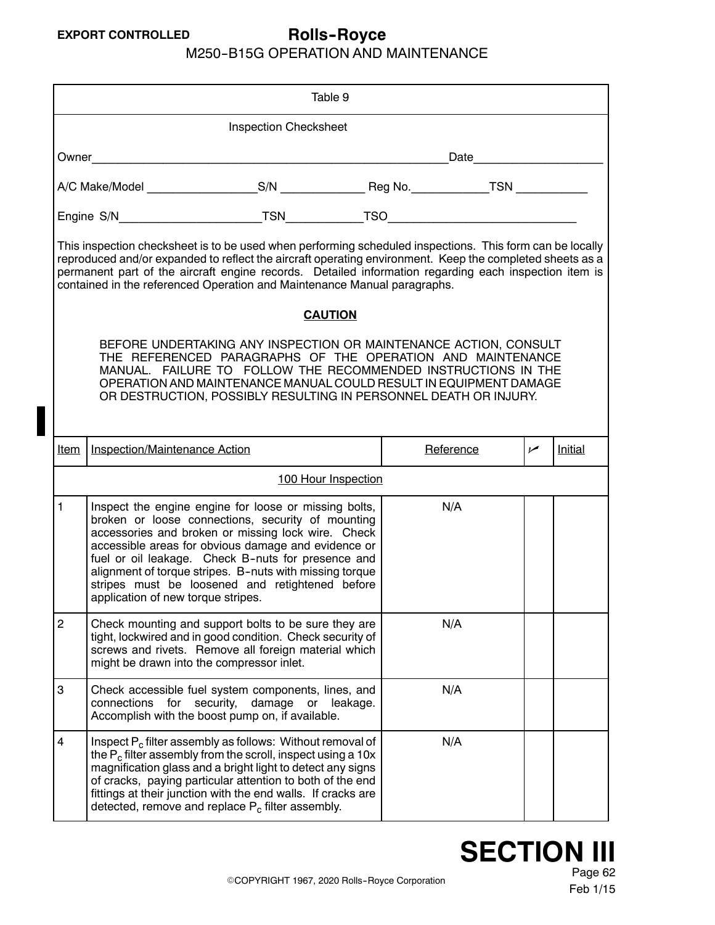### M250--B15G OPERATION AND MAINTENANCE

<span id="page-0-0"></span>

| Table 9                                                                                                                                                                                                                                                                                                                                                                                                   |                                                                                                                                                                                                                                                                                                                                                                                                                                   |                        |          |           |     |         |
|-----------------------------------------------------------------------------------------------------------------------------------------------------------------------------------------------------------------------------------------------------------------------------------------------------------------------------------------------------------------------------------------------------------|-----------------------------------------------------------------------------------------------------------------------------------------------------------------------------------------------------------------------------------------------------------------------------------------------------------------------------------------------------------------------------------------------------------------------------------|------------------------|----------|-----------|-----|---------|
| <b>Inspection Checksheet</b>                                                                                                                                                                                                                                                                                                                                                                              |                                                                                                                                                                                                                                                                                                                                                                                                                                   |                        |          |           |     |         |
|                                                                                                                                                                                                                                                                                                                                                                                                           | Date <b>Date</b>                                                                                                                                                                                                                                                                                                                                                                                                                  |                        |          |           |     |         |
|                                                                                                                                                                                                                                                                                                                                                                                                           |                                                                                                                                                                                                                                                                                                                                                                                                                                   |                        |          |           |     |         |
|                                                                                                                                                                                                                                                                                                                                                                                                           |                                                                                                                                                                                                                                                                                                                                                                                                                                   |                        |          |           |     |         |
| This inspection checksheet is to be used when performing scheduled inspections. This form can be locally<br>reproduced and/or expanded to reflect the aircraft operating environment. Keep the completed sheets as a<br>permanent part of the aircraft engine records. Detailed information regarding each inspection item is<br>contained in the referenced Operation and Maintenance Manual paragraphs. |                                                                                                                                                                                                                                                                                                                                                                                                                                   |                        |          |           |     |         |
|                                                                                                                                                                                                                                                                                                                                                                                                           |                                                                                                                                                                                                                                                                                                                                                                                                                                   | <b>CAUTION</b>         |          |           |     |         |
|                                                                                                                                                                                                                                                                                                                                                                                                           | BEFORE UNDERTAKING ANY INSPECTION OR MAINTENANCE ACTION, CONSULT<br>THE REFERENCED PARAGRAPHS OF THE OPERATION AND MAINTENANCE<br>MANUAL. FAILURE TO FOLLOW THE RECOMMENDED INSTRUCTIONS IN THE<br>OPERATION AND MAINTENANCE MANUAL COULD RESULT IN EQUIPMENT DAMAGE<br>OR DESTRUCTION, POSSIBLY RESULTING IN PERSONNEL DEATH OR INJURY.                                                                                          |                        |          |           |     |         |
| <u>Item</u>                                                                                                                                                                                                                                                                                                                                                                                               | Inspection/Maintenance Action                                                                                                                                                                                                                                                                                                                                                                                                     |                        |          | Reference | سما | Initial |
|                                                                                                                                                                                                                                                                                                                                                                                                           |                                                                                                                                                                                                                                                                                                                                                                                                                                   | 100 Hour Inspection    |          |           |     |         |
| $\mathbf{1}$                                                                                                                                                                                                                                                                                                                                                                                              | Inspect the engine engine for loose or missing bolts,<br>broken or loose connections, security of mounting<br>accessories and broken or missing lock wire. Check<br>accessible areas for obvious damage and evidence or<br>fuel or oil leakage. Check B-nuts for presence and<br>alignment of torque stripes. B-nuts with missing torque<br>stripes must be loosened and retightened before<br>application of new torque stripes. |                        |          | N/A       |     |         |
| $\overline{2}$                                                                                                                                                                                                                                                                                                                                                                                            | Check mounting and support bolts to be sure they are<br>tight, lockwired and in good condition. Check security of<br>screws and rivets. Remove all foreign material which<br>might be drawn into the compressor inlet.                                                                                                                                                                                                            |                        |          | N/A       |     |         |
| 3                                                                                                                                                                                                                                                                                                                                                                                                         | Check accessible fuel system components, lines, and<br>for<br>connections<br>Accomplish with the boost pump on, if available.                                                                                                                                                                                                                                                                                                     | security,<br>damage or | leakage. | N/A       |     |         |
| $\overline{\mathbf{4}}$                                                                                                                                                                                                                                                                                                                                                                                   | Inspect $P_c$ filter assembly as follows: Without removal of<br>the $P_c$ filter assembly from the scroll, inspect using a 10 $x$<br>magnification glass and a bright light to detect any signs<br>of cracks, paying particular attention to both of the end<br>fittings at their junction with the end walls. If cracks are<br>detected, remove and replace $P_c$ filter assembly.                                               |                        |          | N/A       |     |         |

**SECTION III**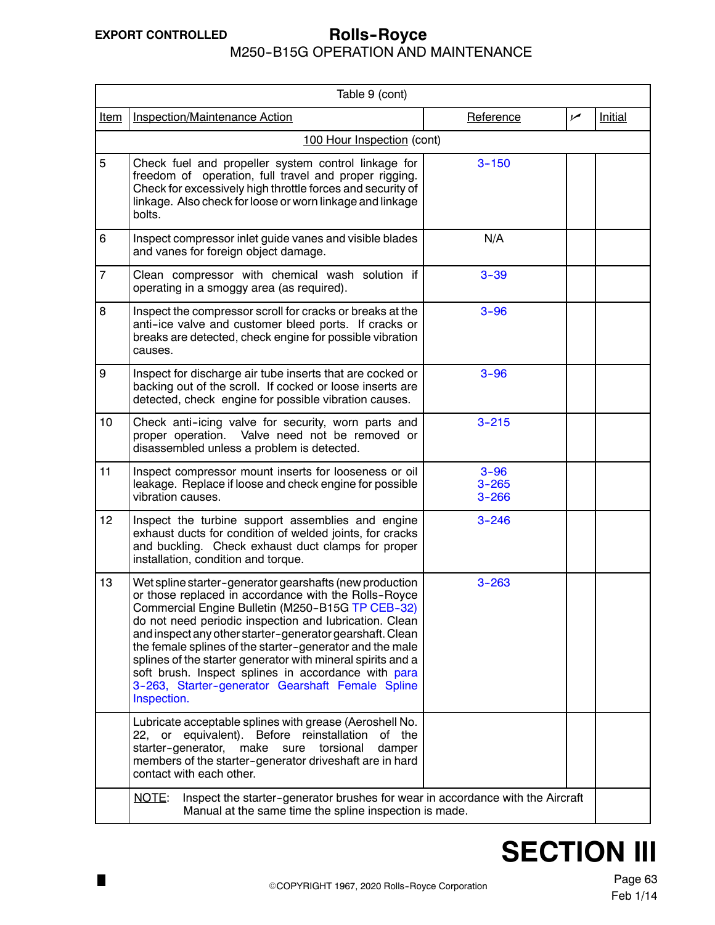$\blacksquare$ 

#### M250--B15G OPERATION AND MAINTENANCE **EXPORT CONTROLLED Rolls--Royce**

| Table 9 (cont)   |                                                                                                                                                                                                                                                                                                                                                                                                                                                                                                                                                |                                    |     |                |  |
|------------------|------------------------------------------------------------------------------------------------------------------------------------------------------------------------------------------------------------------------------------------------------------------------------------------------------------------------------------------------------------------------------------------------------------------------------------------------------------------------------------------------------------------------------------------------|------------------------------------|-----|----------------|--|
| <b>Item</b>      | Inspection/Maintenance Action                                                                                                                                                                                                                                                                                                                                                                                                                                                                                                                  | Reference                          | سما | <b>Initial</b> |  |
|                  | 100 Hour Inspection (cont)                                                                                                                                                                                                                                                                                                                                                                                                                                                                                                                     |                                    |     |                |  |
| 5                | Check fuel and propeller system control linkage for<br>freedom of operation, full travel and proper rigging.<br>Check for excessively high throttle forces and security of<br>linkage. Also check for loose or worn linkage and linkage<br>bolts.                                                                                                                                                                                                                                                                                              | $3 - 150$                          |     |                |  |
| 6                | Inspect compressor inlet guide vanes and visible blades<br>and vanes for foreign object damage.                                                                                                                                                                                                                                                                                                                                                                                                                                                | N/A                                |     |                |  |
| $\overline{7}$   | Clean compressor with chemical wash solution if<br>operating in a smoggy area (as required).                                                                                                                                                                                                                                                                                                                                                                                                                                                   | $3 - 39$                           |     |                |  |
| 8                | Inspect the compressor scroll for cracks or breaks at the<br>anti-ice valve and customer bleed ports. If cracks or<br>breaks are detected, check engine for possible vibration<br>causes.                                                                                                                                                                                                                                                                                                                                                      | $3 - 96$                           |     |                |  |
| $\boldsymbol{9}$ | Inspect for discharge air tube inserts that are cocked or<br>backing out of the scroll. If cocked or loose inserts are<br>detected, check engine for possible vibration causes.                                                                                                                                                                                                                                                                                                                                                                | $3 - 96$                           |     |                |  |
| 10               | Check anti-icing valve for security, worn parts and<br>proper operation. Valve need not be removed or<br>disassembled unless a problem is detected.                                                                                                                                                                                                                                                                                                                                                                                            | $3 - 215$                          |     |                |  |
| 11               | Inspect compressor mount inserts for looseness or oil<br>leakage. Replace if loose and check engine for possible<br>vibration causes.                                                                                                                                                                                                                                                                                                                                                                                                          | $3 - 96$<br>$3 - 265$<br>$3 - 266$ |     |                |  |
| 12               | Inspect the turbine support assemblies and engine<br>exhaust ducts for condition of welded joints, for cracks<br>and buckling. Check exhaust duct clamps for proper<br>installation, condition and torque.                                                                                                                                                                                                                                                                                                                                     | $3 - 246$                          |     |                |  |
| 13               | Wet spline starter-generator gearshafts (new production<br>or those replaced in accordance with the Rolls-Royce<br>Commercial Engine Bulletin (M250-B15G TP CEB-32)<br>do not need periodic inspection and lubrication. Clean<br>and inspect any other starter-generator gearshaft. Clean<br>the female splines of the starter-generator and the male<br>splines of the starter generator with mineral spirits and a<br>soft brush. Inspect splines in accordance with para<br>3-263, Starter-generator Gearshaft Female Spline<br>Inspection. | $3 - 263$                          |     |                |  |
|                  | Lubricate acceptable splines with grease (Aeroshell No.<br>22, or equivalent). Before reinstallation<br>of the<br>starter-generator,<br>make<br>torsional<br>sure<br>damper<br>members of the starter-generator driveshaft are in hard<br>contact with each other.                                                                                                                                                                                                                                                                             |                                    |     |                |  |
|                  | Inspect the starter-generator brushes for wear in accordance with the Aircraft<br><u>NOTE:</u><br>Manual at the same time the spline inspection is made.                                                                                                                                                                                                                                                                                                                                                                                       |                                    |     |                |  |

# **SECTION III**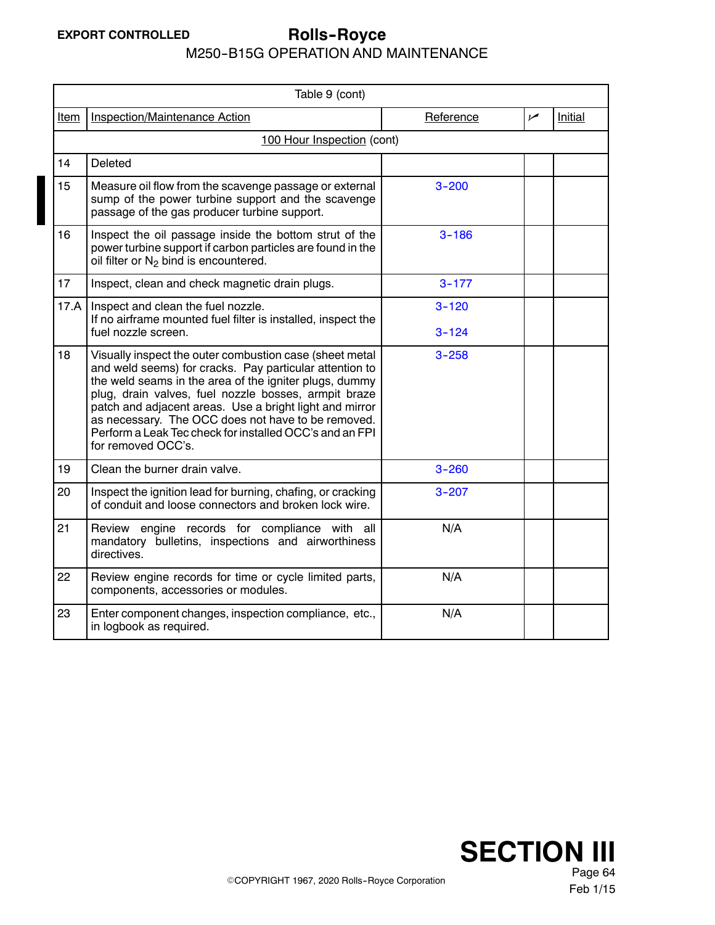# **EXPORT CONTROLLED Rolls--Royce**

M250--B15G OPERATION AND MAINTENANCE

|             | Table 9 (cont)                                                                                                                                                                                                                                                                                                                                                                                                                         |           |                |                |  |
|-------------|----------------------------------------------------------------------------------------------------------------------------------------------------------------------------------------------------------------------------------------------------------------------------------------------------------------------------------------------------------------------------------------------------------------------------------------|-----------|----------------|----------------|--|
| <u>Item</u> | Inspection/Maintenance Action                                                                                                                                                                                                                                                                                                                                                                                                          | Reference | $\overline{v}$ | <b>Initial</b> |  |
|             | 100 Hour Inspection (cont)                                                                                                                                                                                                                                                                                                                                                                                                             |           |                |                |  |
| 14          | Deleted                                                                                                                                                                                                                                                                                                                                                                                                                                |           |                |                |  |
| 15          | Measure oil flow from the scavenge passage or external<br>sump of the power turbine support and the scavenge<br>passage of the gas producer turbine support.                                                                                                                                                                                                                                                                           | $3 - 200$ |                |                |  |
| 16          | Inspect the oil passage inside the bottom strut of the<br>power turbine support if carbon particles are found in the<br>oil filter or $N_2$ bind is encountered.                                                                                                                                                                                                                                                                       | $3 - 186$ |                |                |  |
| 17          | Inspect, clean and check magnetic drain plugs.                                                                                                                                                                                                                                                                                                                                                                                         | $3 - 177$ |                |                |  |
| 17.A        | Inspect and clean the fuel nozzle.                                                                                                                                                                                                                                                                                                                                                                                                     | $3 - 120$ |                |                |  |
|             | If no airframe mounted fuel filter is installed, inspect the<br>fuel nozzle screen.                                                                                                                                                                                                                                                                                                                                                    | $3 - 124$ |                |                |  |
| 18          | Visually inspect the outer combustion case (sheet metal<br>and weld seems) for cracks. Pay particular attention to<br>the weld seams in the area of the igniter plugs, dummy<br>plug, drain valves, fuel nozzle bosses, armpit braze<br>patch and adjacent areas. Use a bright light and mirror<br>as necessary. The OCC does not have to be removed.<br>Perform a Leak Tec check for installed OCC's and an FPI<br>for removed OCC's. | $3 - 258$ |                |                |  |
| 19          | Clean the burner drain valve.                                                                                                                                                                                                                                                                                                                                                                                                          | $3 - 260$ |                |                |  |
| 20          | Inspect the ignition lead for burning, chafing, or cracking<br>of conduit and loose connectors and broken lock wire.                                                                                                                                                                                                                                                                                                                   | $3 - 207$ |                |                |  |
| 21          | Review engine records for compliance with all<br>mandatory bulletins, inspections and airworthiness<br>directives.                                                                                                                                                                                                                                                                                                                     | N/A       |                |                |  |
| 22          | Review engine records for time or cycle limited parts,<br>components, accessories or modules.                                                                                                                                                                                                                                                                                                                                          | N/A       |                |                |  |
| 23          | Enter component changes, inspection compliance, etc.,<br>in logbook as required.                                                                                                                                                                                                                                                                                                                                                       | N/A       |                |                |  |

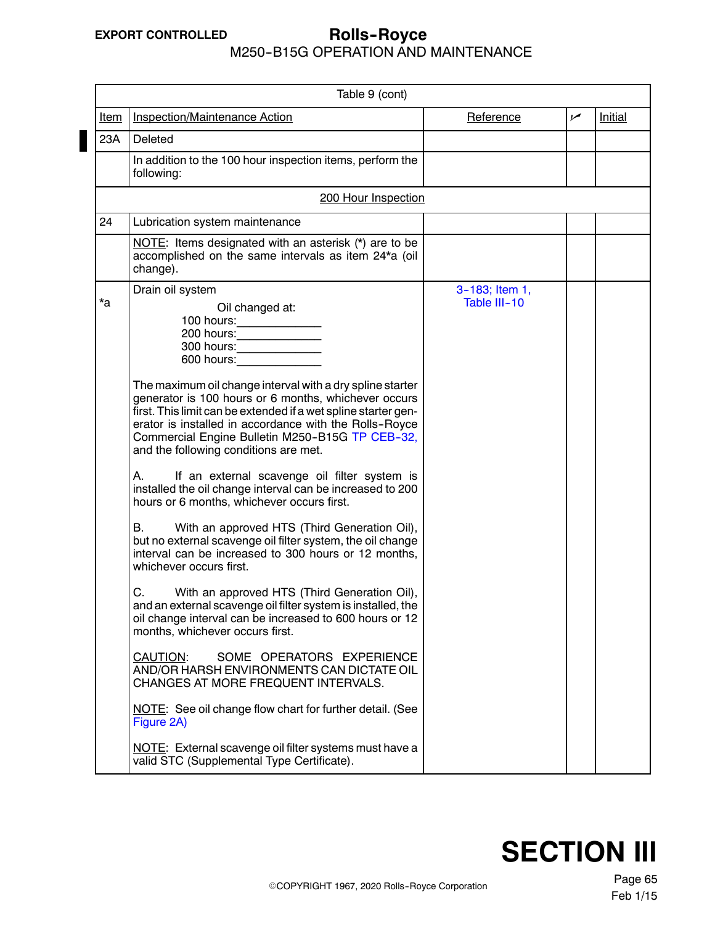#### M250--B15G OPERATION AND MAINTENANCE **EXPORT CONTROLLED Rolls--Royce**

| Table 9 (cont) |                                                                                                                                                                                                                                                                                                                                                                                                                                                                                                                                                                                                                                                                                                                                                                                                                                                                                                                                                                                                                                                                                                                                                                                                                                                                                                                                                                                                                                                             |                                |     |                |  |  |
|----------------|-------------------------------------------------------------------------------------------------------------------------------------------------------------------------------------------------------------------------------------------------------------------------------------------------------------------------------------------------------------------------------------------------------------------------------------------------------------------------------------------------------------------------------------------------------------------------------------------------------------------------------------------------------------------------------------------------------------------------------------------------------------------------------------------------------------------------------------------------------------------------------------------------------------------------------------------------------------------------------------------------------------------------------------------------------------------------------------------------------------------------------------------------------------------------------------------------------------------------------------------------------------------------------------------------------------------------------------------------------------------------------------------------------------------------------------------------------------|--------------------------------|-----|----------------|--|--|
| <u>Item</u>    | Inspection/Maintenance Action                                                                                                                                                                                                                                                                                                                                                                                                                                                                                                                                                                                                                                                                                                                                                                                                                                                                                                                                                                                                                                                                                                                                                                                                                                                                                                                                                                                                                               | Reference                      | مما | <b>Initial</b> |  |  |
| 23A            | Deleted                                                                                                                                                                                                                                                                                                                                                                                                                                                                                                                                                                                                                                                                                                                                                                                                                                                                                                                                                                                                                                                                                                                                                                                                                                                                                                                                                                                                                                                     |                                |     |                |  |  |
|                | In addition to the 100 hour inspection items, perform the<br>following:                                                                                                                                                                                                                                                                                                                                                                                                                                                                                                                                                                                                                                                                                                                                                                                                                                                                                                                                                                                                                                                                                                                                                                                                                                                                                                                                                                                     |                                |     |                |  |  |
|                | 200 Hour Inspection                                                                                                                                                                                                                                                                                                                                                                                                                                                                                                                                                                                                                                                                                                                                                                                                                                                                                                                                                                                                                                                                                                                                                                                                                                                                                                                                                                                                                                         |                                |     |                |  |  |
| 24             | Lubrication system maintenance                                                                                                                                                                                                                                                                                                                                                                                                                                                                                                                                                                                                                                                                                                                                                                                                                                                                                                                                                                                                                                                                                                                                                                                                                                                                                                                                                                                                                              |                                |     |                |  |  |
|                | NOTE: Items designated with an asterisk (*) are to be<br>accomplished on the same intervals as item 24*a (oil<br>change).                                                                                                                                                                                                                                                                                                                                                                                                                                                                                                                                                                                                                                                                                                                                                                                                                                                                                                                                                                                                                                                                                                                                                                                                                                                                                                                                   |                                |     |                |  |  |
| *a             | Drain oil system<br>Oil changed at:<br>300 hours: ________________<br>600 hours: and the state of the state of the state of the state of the state of the state of the state of the state of the state of the state of the state of the state of the state of the state of the state of the state of<br>The maximum oil change interval with a dry spline starter<br>generator is 100 hours or 6 months, whichever occurs<br>first. This limit can be extended if a wet spline starter gen-<br>erator is installed in accordance with the Rolls-Royce<br>Commercial Engine Bulletin M250-B15G TP CEB-32,<br>and the following conditions are met.<br>If an external scavenge oil filter system is<br>А.<br>installed the oil change interval can be increased to 200<br>hours or 6 months, whichever occurs first.<br>В.<br>With an approved HTS (Third Generation Oil),<br>but no external scavenge oil filter system, the oil change<br>interval can be increased to 300 hours or 12 months,<br>whichever occurs first.<br>With an approved HTS (Third Generation Oil),<br>C.<br>and an external scavenge oil filter system is installed, the<br>oil change interval can be increased to 600 hours or 12<br>months, whichever occurs first.<br>SOME OPERATORS EXPERIENCE<br><b>CAUTION:</b><br>AND/OR HARSH ENVIRONMENTS CAN DICTATE OIL<br>CHANGES AT MORE FREQUENT INTERVALS.<br>NOTE: See oil change flow chart for further detail. (See<br>Figure 2A) | 3-183; Item 1,<br>Table III-10 |     |                |  |  |
|                | NOTE: External scavenge oil filter systems must have a<br>valid STC (Supplemental Type Certificate).                                                                                                                                                                                                                                                                                                                                                                                                                                                                                                                                                                                                                                                                                                                                                                                                                                                                                                                                                                                                                                                                                                                                                                                                                                                                                                                                                        |                                |     |                |  |  |

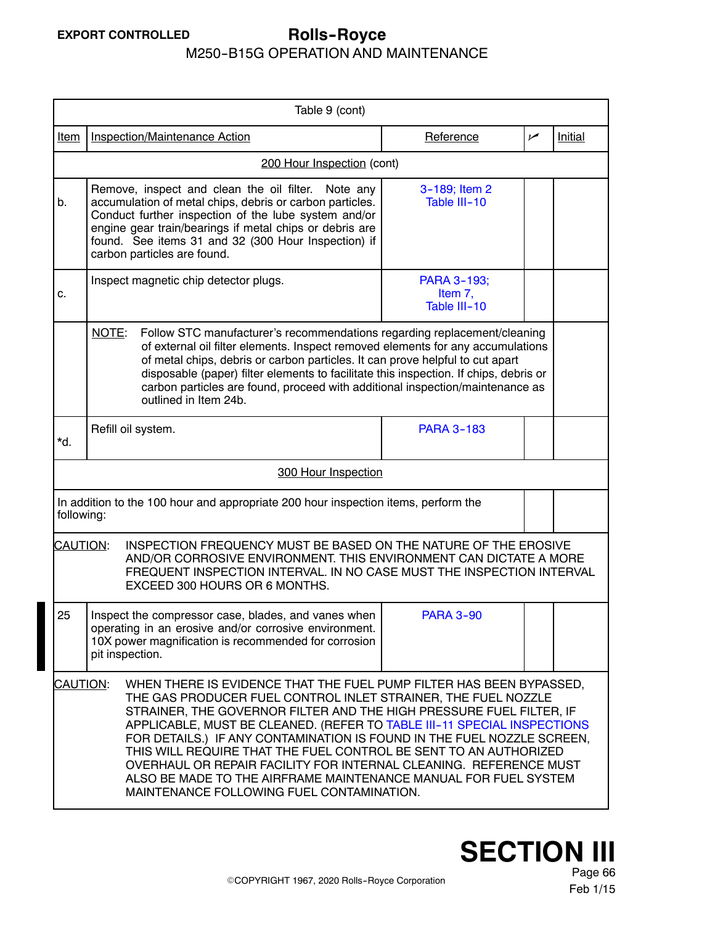# **EXPORT CONTROLLED Rolls--Royce**

### M250--B15G OPERATION AND MAINTENANCE

| Table 9 (cont)                                                                                                                                                                                                                                                    |                                                                                                                                                                                                                                                                                                                                                                                                                                                                                                                                                                                                                                       |                                        |                |         |  |  |
|-------------------------------------------------------------------------------------------------------------------------------------------------------------------------------------------------------------------------------------------------------------------|---------------------------------------------------------------------------------------------------------------------------------------------------------------------------------------------------------------------------------------------------------------------------------------------------------------------------------------------------------------------------------------------------------------------------------------------------------------------------------------------------------------------------------------------------------------------------------------------------------------------------------------|----------------------------------------|----------------|---------|--|--|
| <u>Item</u>                                                                                                                                                                                                                                                       | <b>Inspection/Maintenance Action</b>                                                                                                                                                                                                                                                                                                                                                                                                                                                                                                                                                                                                  | Reference                              | $\overline{V}$ | Initial |  |  |
|                                                                                                                                                                                                                                                                   | 200 Hour Inspection (cont)                                                                                                                                                                                                                                                                                                                                                                                                                                                                                                                                                                                                            |                                        |                |         |  |  |
| b.                                                                                                                                                                                                                                                                | Remove, inspect and clean the oil filter.<br>Note any<br>accumulation of metal chips, debris or carbon particles.<br>Conduct further inspection of the lube system and/or<br>engine gear train/bearings if metal chips or debris are<br>found. See items 31 and 32 (300 Hour Inspection) if<br>carbon particles are found.                                                                                                                                                                                                                                                                                                            | 3-189; Item 2<br>Table III-10          |                |         |  |  |
| c.                                                                                                                                                                                                                                                                | Inspect magnetic chip detector plugs.                                                                                                                                                                                                                                                                                                                                                                                                                                                                                                                                                                                                 | PARA 3-193;<br>Item 7,<br>Table III-10 |                |         |  |  |
|                                                                                                                                                                                                                                                                   | NOTE:<br>Follow STC manufacturer's recommendations regarding replacement/cleaning<br>of external oil filter elements. Inspect removed elements for any accumulations<br>of metal chips, debris or carbon particles. It can prove helpful to cut apart<br>disposable (paper) filter elements to facilitate this inspection. If chips, debris or<br>carbon particles are found, proceed with additional inspection/maintenance as<br>outlined in Item 24b.                                                                                                                                                                              |                                        |                |         |  |  |
| *d.                                                                                                                                                                                                                                                               | Refill oil system.                                                                                                                                                                                                                                                                                                                                                                                                                                                                                                                                                                                                                    | <b>PARA 3-183</b>                      |                |         |  |  |
|                                                                                                                                                                                                                                                                   | 300 Hour Inspection                                                                                                                                                                                                                                                                                                                                                                                                                                                                                                                                                                                                                   |                                        |                |         |  |  |
|                                                                                                                                                                                                                                                                   | In addition to the 100 hour and appropriate 200 hour inspection items, perform the<br>following:                                                                                                                                                                                                                                                                                                                                                                                                                                                                                                                                      |                                        |                |         |  |  |
| <b>CAUTION:</b><br>INSPECTION FREQUENCY MUST BE BASED ON THE NATURE OF THE EROSIVE<br>AND/OR CORROSIVE ENVIRONMENT. THIS ENVIRONMENT CAN DICTATE A MORE<br>FREQUENT INSPECTION INTERVAL. IN NO CASE MUST THE INSPECTION INTERVAL<br>EXCEED 300 HOURS OR 6 MONTHS. |                                                                                                                                                                                                                                                                                                                                                                                                                                                                                                                                                                                                                                       |                                        |                |         |  |  |
| 25                                                                                                                                                                                                                                                                | Inspect the compressor case, blades, and vanes when<br>operating in an erosive and/or corrosive environment.<br>10X power magnification is recommended for corrosion<br>pit inspection.                                                                                                                                                                                                                                                                                                                                                                                                                                               | <b>PARA 3-90</b>                       |                |         |  |  |
|                                                                                                                                                                                                                                                                   | WHEN THERE IS EVIDENCE THAT THE FUEL PUMP FILTER HAS BEEN BYPASSED,<br>CAUTION:<br>THE GAS PRODUCER FUEL CONTROL INLET STRAINER, THE FUEL NOZZLE<br>STRAINER, THE GOVERNOR FILTER AND THE HIGH PRESSURE FUEL FILTER, IF<br>APPLICABLE, MUST BE CLEANED. (REFER TO TABLE III-11 SPECIAL INSPECTIONS<br>FOR DETAILS.) IF ANY CONTAMINATION IS FOUND IN THE FUEL NOZZLE SCREEN,<br>THIS WILL REQUIRE THAT THE FUEL CONTROL BE SENT TO AN AUTHORIZED<br>OVERHAUL OR REPAIR FACILITY FOR INTERNAL CLEANING. REFERENCE MUST<br>ALSO BE MADE TO THE AIRFRAME MAINTENANCE MANUAL FOR FUEL SYSTEM<br>MAINTENANCE FOLLOWING FUEL CONTAMINATION. |                                        |                |         |  |  |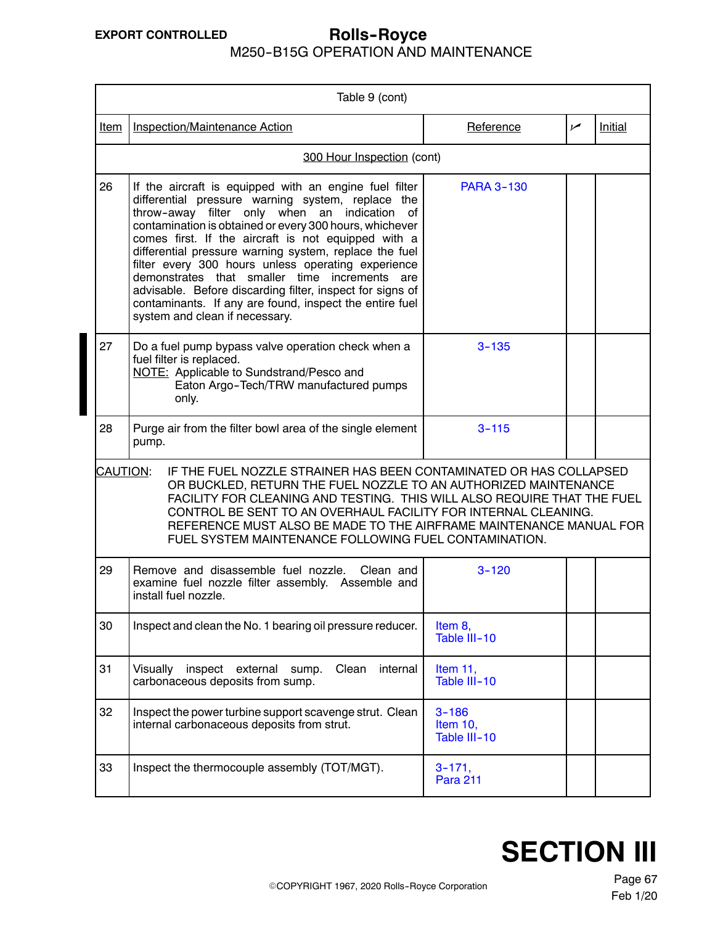#### M250--B15G OPERATION AND MAINTENANCE **EXPORT CONTROLLED Rolls--Royce**

| Table 9 (cont)                                                                                                                                                                                                                                                                                                                                                                                                                |                                                                                                                                                                                                                                                                                                                                                                                                                                                                                                                                                                                                                |                                       |     |         |  |  |
|-------------------------------------------------------------------------------------------------------------------------------------------------------------------------------------------------------------------------------------------------------------------------------------------------------------------------------------------------------------------------------------------------------------------------------|----------------------------------------------------------------------------------------------------------------------------------------------------------------------------------------------------------------------------------------------------------------------------------------------------------------------------------------------------------------------------------------------------------------------------------------------------------------------------------------------------------------------------------------------------------------------------------------------------------------|---------------------------------------|-----|---------|--|--|
| Item                                                                                                                                                                                                                                                                                                                                                                                                                          | Inspection/Maintenance Action                                                                                                                                                                                                                                                                                                                                                                                                                                                                                                                                                                                  | Reference                             | سما | Initial |  |  |
|                                                                                                                                                                                                                                                                                                                                                                                                                               | 300 Hour Inspection (cont)                                                                                                                                                                                                                                                                                                                                                                                                                                                                                                                                                                                     |                                       |     |         |  |  |
| 26                                                                                                                                                                                                                                                                                                                                                                                                                            | If the aircraft is equipped with an engine fuel filter<br>differential pressure warning system, replace the<br>throw-away filter only when an indication<br>of<br>contamination is obtained or every 300 hours, whichever<br>comes first. If the aircraft is not equipped with a<br>differential pressure warning system, replace the fuel<br>filter every 300 hours unless operating experience<br>demonstrates that smaller time<br>increments are<br>advisable. Before discarding filter, inspect for signs of<br>contaminants. If any are found, inspect the entire fuel<br>system and clean if necessary. | <b>PARA 3-130</b>                     |     |         |  |  |
| 27                                                                                                                                                                                                                                                                                                                                                                                                                            | Do a fuel pump bypass valve operation check when a<br>fuel filter is replaced.<br>NOTE: Applicable to Sundstrand/Pesco and<br>Eaton Argo-Tech/TRW manufactured pumps<br>only.                                                                                                                                                                                                                                                                                                                                                                                                                                  | $3 - 135$                             |     |         |  |  |
| 28                                                                                                                                                                                                                                                                                                                                                                                                                            | Purge air from the filter bowl area of the single element<br>pump.                                                                                                                                                                                                                                                                                                                                                                                                                                                                                                                                             | $3 - 115$                             |     |         |  |  |
| CAUTION:<br>IF THE FUEL NOZZLE STRAINER HAS BEEN CONTAMINATED OR HAS COLLAPSED<br>OR BUCKLED, RETURN THE FUEL NOZZLE TO AN AUTHORIZED MAINTENANCE<br>FACILITY FOR CLEANING AND TESTING. THIS WILL ALSO REQUIRE THAT THE FUEL<br>CONTROL BE SENT TO AN OVERHAUL FACILITY FOR INTERNAL CLEANING.<br>REFERENCE MUST ALSO BE MADE TO THE AIRFRAME MAINTENANCE MANUAL FOR<br>FUEL SYSTEM MAINTENANCE FOLLOWING FUEL CONTAMINATION. |                                                                                                                                                                                                                                                                                                                                                                                                                                                                                                                                                                                                                |                                       |     |         |  |  |
| 29                                                                                                                                                                                                                                                                                                                                                                                                                            | Remove and disassemble fuel nozzle.<br>Clean and<br>examine fuel nozzle filter assembly. Assemble and<br>install fuel nozzle.                                                                                                                                                                                                                                                                                                                                                                                                                                                                                  | $3 - 120$                             |     |         |  |  |
| 30                                                                                                                                                                                                                                                                                                                                                                                                                            | Inspect and clean the No. 1 bearing oil pressure reducer.                                                                                                                                                                                                                                                                                                                                                                                                                                                                                                                                                      | Item 8,<br>Table III-10               |     |         |  |  |
| 31                                                                                                                                                                                                                                                                                                                                                                                                                            | Visually<br>inspect external<br>Clean<br>internal<br>sump.<br>carbonaceous deposits from sump.                                                                                                                                                                                                                                                                                                                                                                                                                                                                                                                 | Item 11,<br>Table III-10              |     |         |  |  |
| 32                                                                                                                                                                                                                                                                                                                                                                                                                            | Inspect the power turbine support scavenge strut. Clean<br>internal carbonaceous deposits from strut.                                                                                                                                                                                                                                                                                                                                                                                                                                                                                                          | $3 - 186$<br>Item 10,<br>Table III-10 |     |         |  |  |
| 33                                                                                                                                                                                                                                                                                                                                                                                                                            | Inspect the thermocouple assembly (TOT/MGT).                                                                                                                                                                                                                                                                                                                                                                                                                                                                                                                                                                   | $3 - 171,$<br><b>Para 211</b>         |     |         |  |  |

# **SECTION III**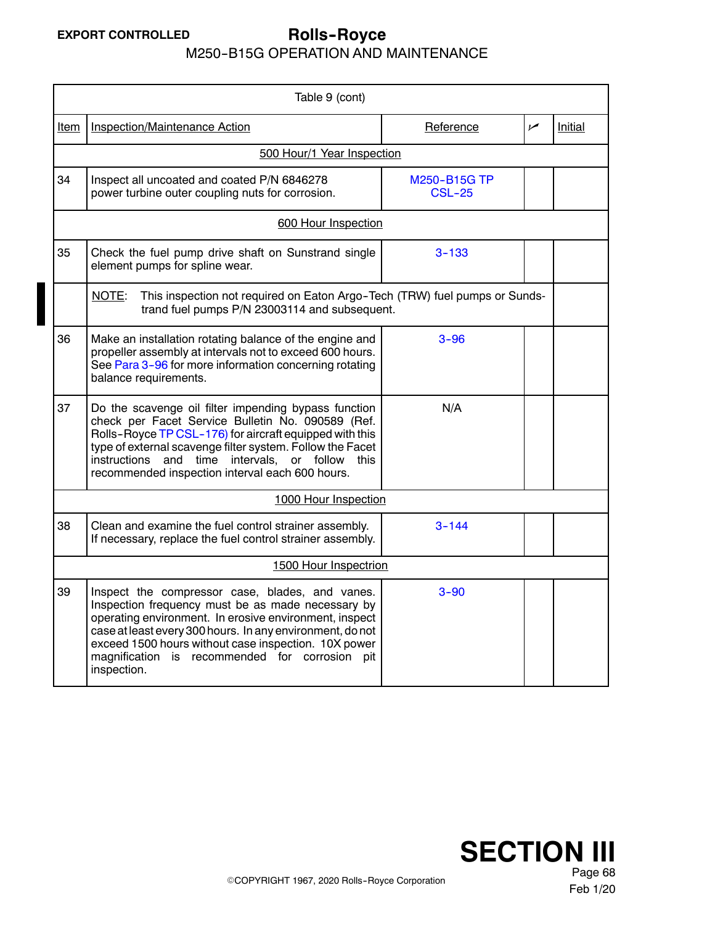# **EXPORT CONTROLLED Rolls--Royce**

M250--B15G OPERATION AND MAINTENANCE

|                                                                                                                                      | Table 9 (cont)                                                                                                                                                                                                                                                                                                                                       |                               |                |         |  |  |
|--------------------------------------------------------------------------------------------------------------------------------------|------------------------------------------------------------------------------------------------------------------------------------------------------------------------------------------------------------------------------------------------------------------------------------------------------------------------------------------------------|-------------------------------|----------------|---------|--|--|
| <u>Item</u>                                                                                                                          | Inspection/Maintenance Action                                                                                                                                                                                                                                                                                                                        | Reference                     | $\overline{v}$ | Initial |  |  |
|                                                                                                                                      | 500 Hour/1 Year Inspection                                                                                                                                                                                                                                                                                                                           |                               |                |         |  |  |
| 34                                                                                                                                   | Inspect all uncoated and coated P/N 6846278<br>power turbine outer coupling nuts for corrosion.                                                                                                                                                                                                                                                      | M250-B15G TP<br><b>CSL-25</b> |                |         |  |  |
|                                                                                                                                      | 600 Hour Inspection                                                                                                                                                                                                                                                                                                                                  |                               |                |         |  |  |
| 35                                                                                                                                   | Check the fuel pump drive shaft on Sunstrand single<br>element pumps for spline wear.                                                                                                                                                                                                                                                                | $3 - 133$                     |                |         |  |  |
| NOTE:<br>This inspection not required on Eaton Argo-Tech (TRW) fuel pumps or Sunds-<br>trand fuel pumps P/N 23003114 and subsequent. |                                                                                                                                                                                                                                                                                                                                                      |                               |                |         |  |  |
| 36                                                                                                                                   | Make an installation rotating balance of the engine and<br>propeller assembly at intervals not to exceed 600 hours.<br>See Para 3-96 for more information concerning rotating<br>balance requirements.                                                                                                                                               | $3 - 96$                      |                |         |  |  |
| 37                                                                                                                                   | Do the scavenge oil filter impending bypass function<br>check per Facet Service Bulletin No. 090589 (Ref.<br>Rolls-Royce TP CSL-176) for aircraft equipped with this<br>type of external scavenge filter system. Follow the Facet<br>instructions and time intervals, or follow this<br>recommended inspection interval each 600 hours.              | N/A                           |                |         |  |  |
|                                                                                                                                      | 1000 Hour Inspection                                                                                                                                                                                                                                                                                                                                 |                               |                |         |  |  |
| 38                                                                                                                                   | Clean and examine the fuel control strainer assembly.<br>If necessary, replace the fuel control strainer assembly.                                                                                                                                                                                                                                   | $3 - 144$                     |                |         |  |  |
|                                                                                                                                      | 1500 Hour Inspectrion                                                                                                                                                                                                                                                                                                                                |                               |                |         |  |  |
| 39                                                                                                                                   | Inspect the compressor case, blades, and vanes.<br>Inspection frequency must be as made necessary by<br>operating environment. In erosive environment, inspect<br>case at least every 300 hours. In any environment, do not<br>exceed 1500 hours without case inspection. 10X power<br>magnification is recommended for corrosion pit<br>inspection. | $3 - 90$                      |                |         |  |  |